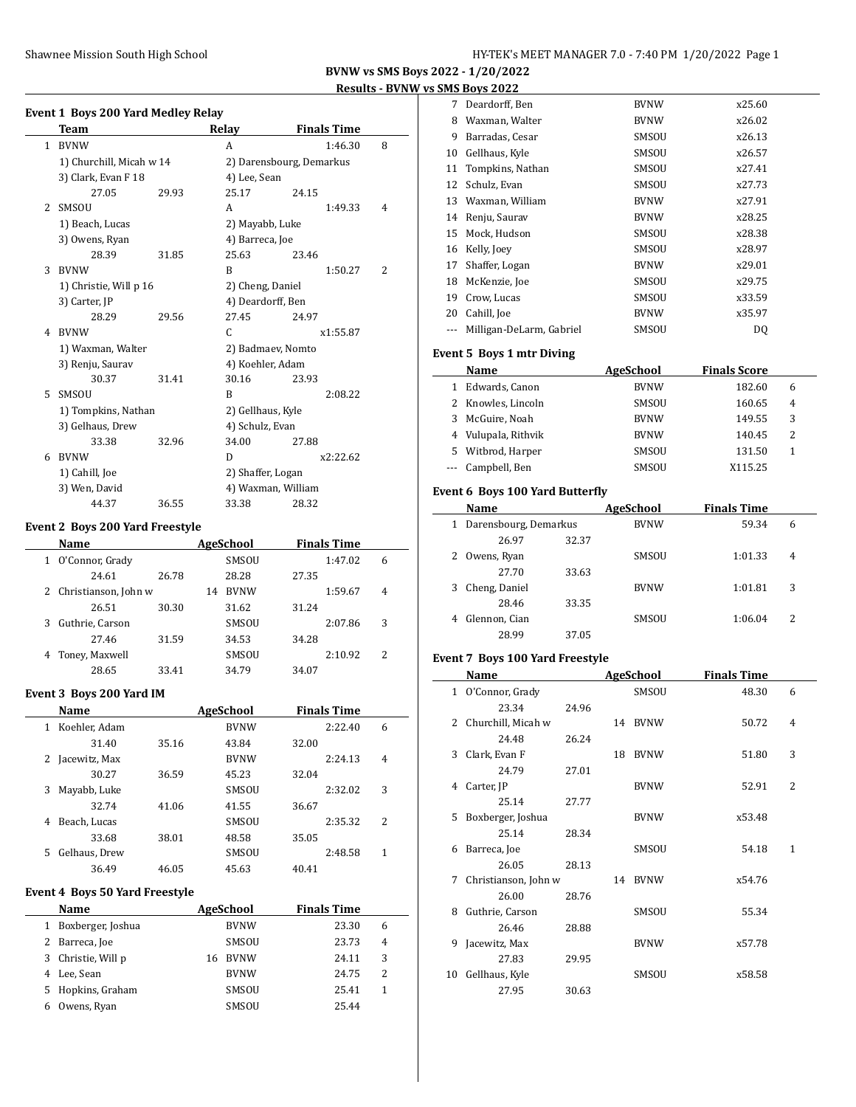**BVNW vs SMS Boys 2022 - 1/20/2022 Results - BVNW vs SMS Boys 2022**

#### **Event 1 Boys 200 Yard Medley Relay**

|              | $-002222222222$<br><b>Team</b> |       | Relay                    | <b>Finals Time</b> |
|--------------|--------------------------------|-------|--------------------------|--------------------|
| $\mathbf{1}$ | <b>BVNW</b>                    |       | A                        | 1:46.30<br>8       |
|              | 1) Churchill, Micah w 14       |       | 2) Darensbourg, Demarkus |                    |
|              | 3) Clark, Evan F 18            |       | 4) Lee, Sean             |                    |
|              | 27.05                          | 29.93 | 25.17                    | 24.15              |
| 2            | SMSOU                          |       | A                        | 1:49.33<br>4       |
|              | 1) Beach, Lucas                |       | 2) Mayabb, Luke          |                    |
|              | 3) Owens, Ryan                 |       | 4) Barreca, Joe          |                    |
|              | 28.39                          | 31.85 | 25.63                    | 23.46              |
| 3            | <b>BVNW</b>                    |       | B                        | 1:50.27<br>2       |
|              | 1) Christie, Will p 16         |       | 2) Cheng, Daniel         |                    |
|              | 3) Carter, JP                  |       | 4) Deardorff, Ben        |                    |
|              | 28.29                          | 29.56 | 27.45                    | 24.97              |
| 4            | <b>BVNW</b>                    |       | C.                       | x1:55.87           |
|              | 1) Waxman, Walter              |       | 2) Badmaev, Nomto        |                    |
|              | 3) Renju, Saurav               |       | 4) Koehler, Adam         |                    |
|              | 30.37                          | 31.41 | 30.16                    | 23.93              |
| 5            | SMSOU                          |       | R                        | 2:08.22            |
|              | 1) Tompkins, Nathan            |       | 2) Gellhaus, Kyle        |                    |
|              | 3) Gelhaus, Drew               |       | 4) Schulz, Evan          |                    |
|              | 33.38                          | 32.96 | 34.00                    | 27.88              |
| 6            | <b>BVNW</b>                    |       | D                        | x2:22.62           |
|              | 1) Cahill, Joe                 |       | 2) Shaffer, Logan        |                    |
|              | 3) Wen, David                  |       | 4) Waxman, William       |                    |
|              | 44.37                          | 36.55 | 33.38                    | 28.32              |

#### **Event 2 Boys 200 Yard Freestyle**

|   | Name                   |       |    | AgeSchool   |       | <b>Finals Time</b> |                |  |
|---|------------------------|-------|----|-------------|-------|--------------------|----------------|--|
|   | 1 O'Connor, Grady      |       |    | SMSOU       |       | 1:47.02            | 6              |  |
|   | 24.61                  | 26.78 |    | 28.28       | 27.35 |                    |                |  |
|   | 2 Christianson, John w |       | 14 | <b>BVNW</b> |       | 1:59.67            | $\overline{4}$ |  |
|   | 26.51                  | 30.30 |    | 31.62       | 31.24 |                    |                |  |
| 3 | Guthrie, Carson        |       |    | SMSOU       |       | 2:07.86            | 3              |  |
|   | 27.46                  | 31.59 |    | 34.53       | 34.28 |                    |                |  |
| 4 | Toney, Maxwell         |       |    | SMSOU       |       | 2:10.92            | 2              |  |
|   | 28.65                  | 33.41 |    | 34.79       | 34.07 |                    |                |  |

### **Event 3 Boys 200 Yard IM**

|   | <b>Name</b>   |       | AgeSchool    | <b>Finals Time</b> |   |
|---|---------------|-------|--------------|--------------------|---|
| 1 | Koehler, Adam |       | <b>BVNW</b>  | 2:22.40            | 6 |
|   | 31.40         | 35.16 | 43.84        | 32.00              |   |
| 2 | Jacewitz, Max |       | <b>BVNW</b>  | 2:24.13            | 4 |
|   | 30.27         | 36.59 | 45.23        | 32.04              |   |
| 3 | Mayabb, Luke  |       | <b>SMSOU</b> | 2:32.02            | 3 |
|   | 32.74         | 41.06 | 41.55        | 36.67              |   |
| 4 | Beach, Lucas  |       | <b>SMSOU</b> | 2:35.32            | 2 |
|   | 33.68         | 38.01 | 48.58        | 35.05              |   |
| 5 | Gelhaus, Drew |       | <b>SMSOU</b> | 2:48.58            | 1 |
|   | 36.49         | 46.05 | 45.63        | 40.41              |   |

## **Event 4 Boys 50 Yard Freestyle**

|   | <b>Name</b>       |    | AgeSchool   | <b>Finals Time</b> |       |   |
|---|-------------------|----|-------------|--------------------|-------|---|
| 1 | Boxberger, Joshua |    | <b>BVNW</b> |                    | 23.30 | 6 |
| 2 | Barreca, Joe      |    | SMSOU       |                    | 23.73 | 4 |
| 3 | Christie, Will p  | 16 | <b>BVNW</b> |                    | 24.11 | 3 |
| 4 | Lee, Sean         |    | <b>BVNW</b> |                    | 24.75 | 2 |
| 5 | Hopkins, Graham   |    | SMSOU       |                    | 25.41 |   |
| 6 | Owens, Ryan       |    | SMSOU       |                    | 25.44 |   |

| 7  | Deardorff, Ben           | <b>BVNW</b> | x25.60 |
|----|--------------------------|-------------|--------|
| 8  | Waxman, Walter           | <b>BVNW</b> | x26.02 |
| 9  | Barradas, Cesar          | SMSOU       | x26.13 |
| 10 | Gellhaus, Kyle           | SMSOU       | x26.57 |
| 11 | Tompkins, Nathan         | SMSOU       | x27.41 |
| 12 | Schulz, Evan             | SMSOU       | x27.73 |
| 13 | Waxman, William          | <b>BVNW</b> | x27.91 |
| 14 | Renju, Saurav            | <b>BVNW</b> | x28.25 |
| 15 | Mock, Hudson             | SMSOU       | x28.38 |
| 16 | Kelly, Joey              | SMSOU       | x28.97 |
| 17 | Shaffer, Logan           | <b>BVNW</b> | x29.01 |
| 18 | McKenzie, Joe            | SMSOU       | x29.75 |
| 19 | Crow, Lucas              | SMSOU       | x33.59 |
| 20 | Cahill, Joe              | <b>BVNW</b> | x35.97 |
|    | Milligan-DeLarm, Gabriel | SMSOU       | DQ     |

## **Event 5 Boys 1 mtr Diving**

|   | Name                | AgeSchool   | <b>Finals Score</b> |   |
|---|---------------------|-------------|---------------------|---|
| 1 | Edwards, Canon      | <b>BVNW</b> | 182.60              | 6 |
|   | 2 Knowles, Lincoln  | SMSOU       | 160.65              | 4 |
| 3 | McGuire, Noah       | <b>BVNW</b> | 149.55              | 3 |
|   | 4 Vulupala, Rithvik | <b>BVNW</b> | 140.45              | 2 |
|   | 5 Witbrod, Harper   | SMSOU       | 131.50              | 1 |
|   | --- Campbell, Ben   | SMSOU       | X115.25             |   |

## **Event 6 Boys 100 Yard Butterfly**

|   | Name                  |       | AgeSchool   | <b>Finals Time</b> |   |
|---|-----------------------|-------|-------------|--------------------|---|
| 1 | Darensbourg, Demarkus |       | <b>BVNW</b> | 59.34              | 6 |
|   | 26.97                 | 32.37 |             |                    |   |
|   | Owens, Ryan           |       | SMSOU       | 1:01.33            | 4 |
|   | 27.70                 | 33.63 |             |                    |   |
| 3 | Cheng, Daniel         |       | <b>BVNW</b> | 1:01.81            | 3 |
|   | 28.46                 | 33.35 |             |                    |   |
| 4 | Glennon, Cian         |       | SMSOU       | 1:06.04            | 2 |
|   | 28.99                 | 37.05 |             |                    |   |

# **Event 7 Boys 100 Yard Freestyle**

|               | Name                 |       |    | AgeSchool   | <b>Finals Time</b> |   |
|---------------|----------------------|-------|----|-------------|--------------------|---|
| 1             | O'Connor, Grady      |       |    | SMSOU       | 48.30              | 6 |
|               | 23.34                | 24.96 |    |             |                    |   |
| $\mathcal{L}$ | Churchill, Micah w   |       | 14 | <b>BVNW</b> | 50.72              | 4 |
|               | 24.48                | 26.24 |    |             |                    |   |
| 3             | Clark, Evan F        |       | 18 | <b>BVNW</b> | 51.80              | 3 |
|               | 24.79                | 27.01 |    |             |                    |   |
| 4             | Carter, JP           |       |    | <b>BVNW</b> | 52.91              | 2 |
|               | 25.14                | 27.77 |    |             |                    |   |
| 5             | Boxberger, Joshua    |       |    | <b>BVNW</b> | x53.48             |   |
|               | 25.14                | 28.34 |    |             |                    |   |
| 6             | Barreca, Joe         |       |    | SMSOU       | 54.18              | 1 |
|               | 26.05                | 28.13 |    |             |                    |   |
| 7             | Christianson, John w |       | 14 | <b>BVNW</b> | x54.76             |   |
|               | 26.00                | 28.76 |    |             |                    |   |
| 8             | Guthrie, Carson      |       |    | SMSOU       | 55.34              |   |
|               | 26.46                | 28.88 |    |             |                    |   |
| 9             | Jacewitz, Max        |       |    | <b>BVNW</b> | x57.78             |   |
|               | 27.83                | 29.95 |    |             |                    |   |
| 10            | Gellhaus, Kyle       |       |    | SMSOU       | x58.58             |   |
|               | 27.95                | 30.63 |    |             |                    |   |